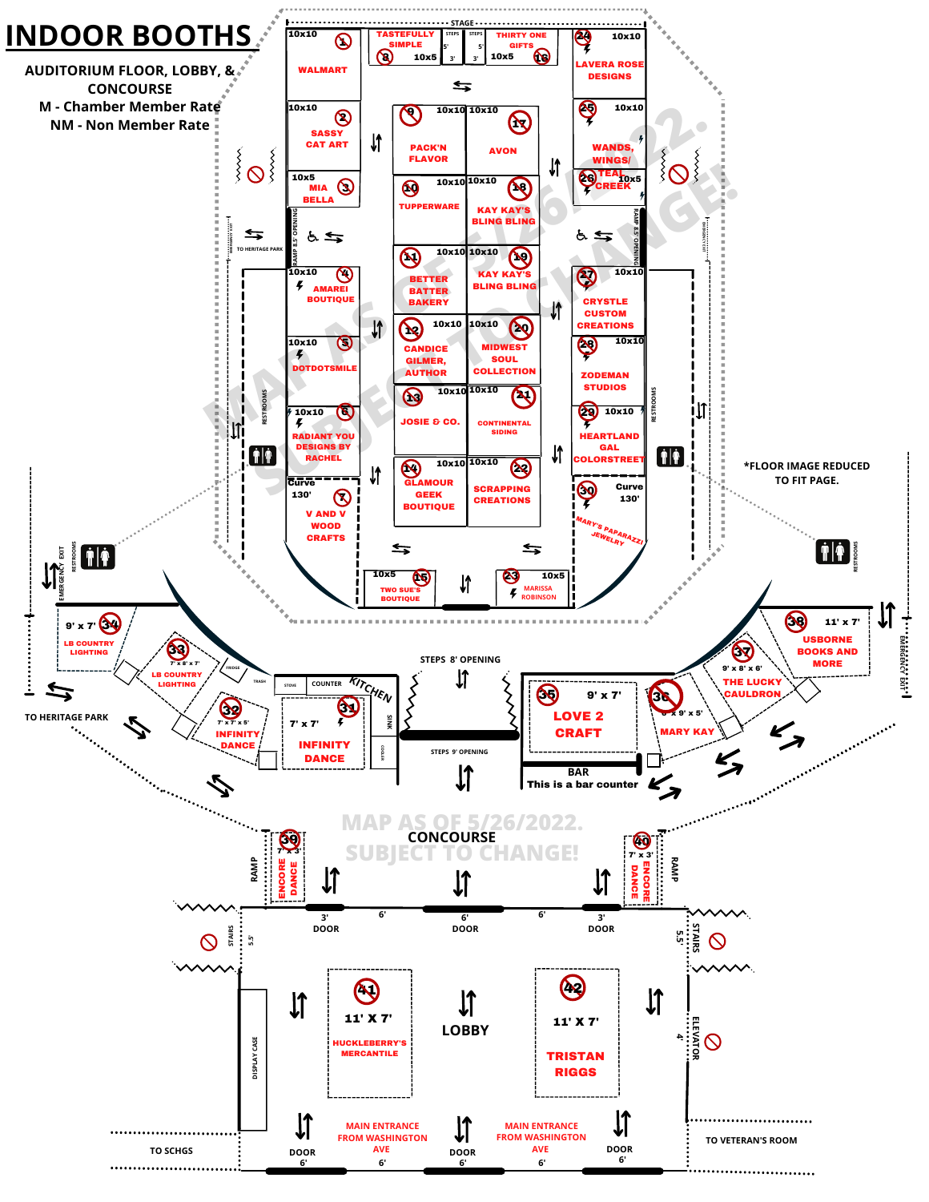